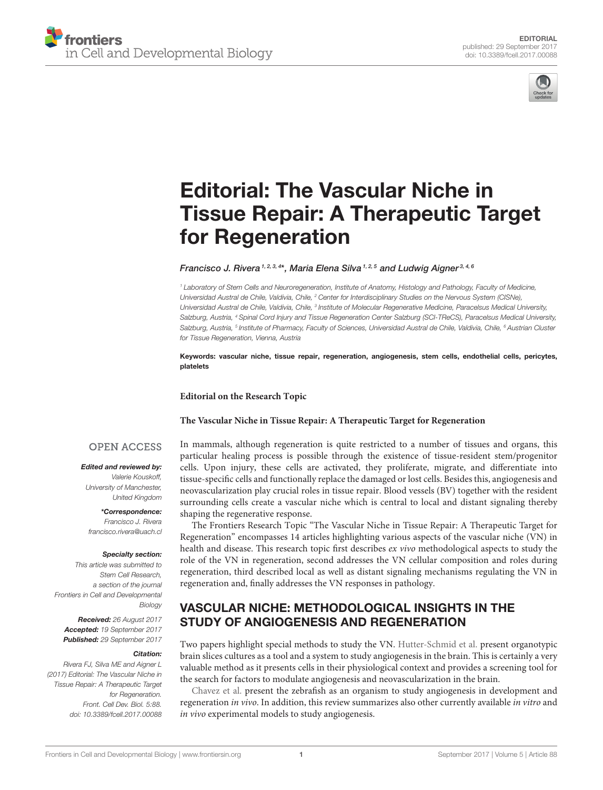



# Editorial: The Vascular Niche in [Tissue Repair: A Therapeutic Target](http://journal.frontiersin.org/article/10.3389/fcell.2017.00088/full) for Regeneration

[Francisco J. Rivera](http://loop.frontiersin.org/people/76978/overview) 1, 2, 3, 4\*, [Maria Elena Silva](http://loop.frontiersin.org/people/447034/overview) 1, 2, 5 and [Ludwig Aigner](http://loop.frontiersin.org/people/3598/overview) 3, 4, 6

*<sup>1</sup> Laboratory of Stem Cells and Neuroregeneration, Institute of Anatomy, Histology and Pathology, Faculty of Medicine, Universidad Austral de Chile, Valdivia, Chile, <sup>2</sup> Center for Interdisciplinary Studies on the Nervous System (CISNe),* Universidad Austral de Chile, Valdivia, Chile, <sup>3</sup> Institute of Molecular Regenerative Medicine, Paracelsus Medical University, *Salzburg, Austria, <sup>4</sup> Spinal Cord Injury and Tissue Regeneration Center Salzburg (SCI-TReCS), Paracelsus Medical University, Salzburg, Austria, <sup>5</sup> Institute of Pharmacy, Faculty of Sciences, Universidad Austral de Chile, Valdivia, Chile, <sup>6</sup> Austrian Cluster for Tissue Regeneration, Vienna, Austria*

Keywords: vascular niche, tissue repair, regeneration, angiogenesis, stem cells, endothelial cells, pericytes, platelets

**Editorial on the Research Topic**

#### **[The Vascular Niche in Tissue Repair: A Therapeutic Target for Regeneration](http://journal.frontiersin.org/researchtopic/3255/the-vascular-niche-in-tissue-repair-a-therapeutic-target-for-regeneration)**

#### **OPEN ACCESS**

Edited and reviewed by:

*Valerie Kouskoff, University of Manchester, United Kingdom*

\*Correspondence: *Francisco J. Rivera [francisco.rivera@uach.cl](mailto:francisco.rivera@uach.cl)*

#### Specialty section:

*This article was submitted to Stem Cell Research, a section of the journal Frontiers in Cell and Developmental Biology*

Received: *26 August 2017* Accepted: *19 September 2017* Published: *29 September 2017*

#### Citation:

*Rivera FJ, Silva ME and Aigner L (2017) Editorial: The Vascular Niche in Tissue Repair: A Therapeutic Target for Regeneration. Front. Cell Dev. Biol. 5:88. doi: [10.3389/fcell.2017.00088](https://doi.org/10.3389/fcell.2017.00088)* In mammals, although regeneration is quite restricted to a number of tissues and organs, this particular healing process is possible through the existence of tissue-resident stem/progenitor cells. Upon injury, these cells are activated, they proliferate, migrate, and differentiate into tissue-specific cells and functionally replace the damaged or lost cells. Besides this, angiogenesis and neovascularization play crucial roles in tissue repair. Blood vessels (BV) together with the resident surrounding cells create a vascular niche which is central to local and distant signaling thereby shaping the regenerative response.

The Frontiers Research Topic "The Vascular Niche in Tissue Repair: A Therapeutic Target for Regeneration" encompasses 14 articles highlighting various aspects of the vascular niche (VN) in health and disease. This research topic first describes ex vivo methodological aspects to study the role of the VN in regeneration, second addresses the VN cellular composition and roles during regeneration, third described local as well as distant signaling mechanisms regulating the VN in regeneration and, finally addresses the VN responses in pathology.

## VASCULAR NICHE: METHODOLOGICAL INSIGHTS IN THE STUDY OF ANGIOGENESIS AND REGENERATION

Two papers highlight special methods to study the VN. [Hutter-Schmid et al.](https://doi.org/10.3389/fcell.2015.00052) present organotypic brain slices cultures as a tool and a system to study angiogenesis in the brain. This is certainly a very valuable method as it presents cells in their physiological context and provides a screening tool for the search for factors to modulate angiogenesis and neovascularization in the brain.

[Chavez et al.](https://doi.org/10.3389/fphys.2016.00056) present the zebrafish as an organism to study angiogenesis in development and regeneration in vivo. In addition, this review summarizes also other currently available in vitro and in vivo experimental models to study angiogenesis.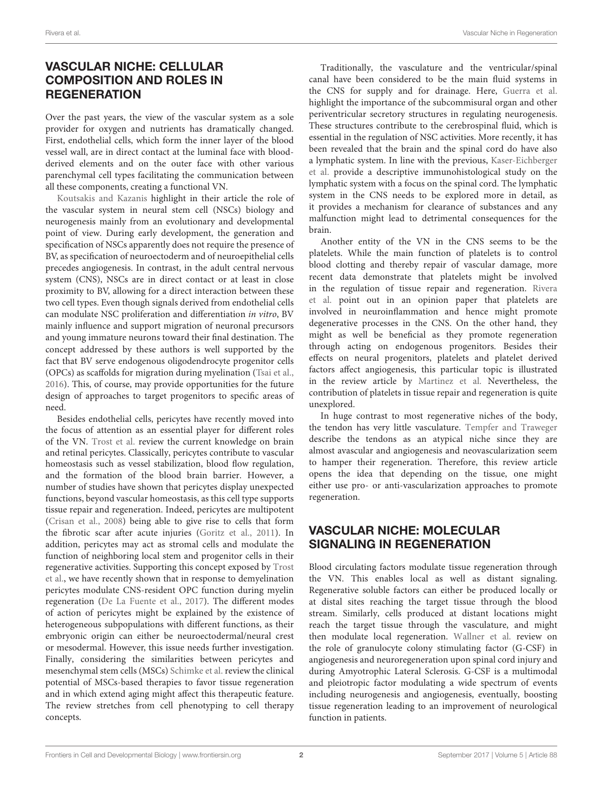# VASCULAR NICHE: CELLULAR COMPOSITION AND ROLES IN **REGENERATION**

Over the past years, the view of the vascular system as a sole provider for oxygen and nutrients has dramatically changed. First, endothelial cells, which form the inner layer of the blood vessel wall, are in direct contact at the luminal face with bloodderived elements and on the outer face with other various parenchymal cell types facilitating the communication between all these components, creating a functional VN.

[Koutsakis and Kazanis](https://doi.org/10.3389/fncel.2016.00035) highlight in their article the role of the vascular system in neural stem cell (NSCs) biology and neurogenesis mainly from an evolutionary and developmental point of view. During early development, the generation and specification of NSCs apparently does not require the presence of BV, as specification of neuroectoderm and of neuroepithelial cells precedes angiogenesis. In contrast, in the adult central nervous system (CNS), NSCs are in direct contact or at least in close proximity to BV, allowing for a direct interaction between these two cell types. Even though signals derived from endothelial cells can modulate NSC proliferation and differentiation in vitro, BV mainly influence and support migration of neuronal precursors and young immature neurons toward their final destination. The concept addressed by these authors is well supported by the fact that BV serve endogenous oligodendrocyte progenitor cells (OPCs) as scaffolds for migration during myelination [\(Tsai et al.,](#page-2-0) [2016\)](#page-2-0). This, of course, may provide opportunities for the future design of approaches to target progenitors to specific areas of need.

Besides endothelial cells, pericytes have recently moved into the focus of attention as an essential player for different roles of the VN. [Trost et al.](https://doi.org/10.3389/fncel.2016.00020) review the current knowledge on brain and retinal pericytes. Classically, pericytes contribute to vascular homeostasis such as vessel stabilization, blood flow regulation, and the formation of the blood brain barrier. However, a number of studies have shown that pericytes display unexpected functions, beyond vascular homeostasis, as this cell type supports tissue repair and regeneration. Indeed, pericytes are multipotent [\(Crisan et al., 2008\)](#page-2-1) being able to give rise to cells that form the fibrotic scar after acute injuries [\(Goritz et al., 2011\)](#page-2-2). In addition, pericytes may act as stromal cells and modulate the function of neighboring local stem and progenitor cells in their regenerative activities. Supporting this concept exposed by Trost [et al., we have recently shown that in response to demyelination](https://doi.org/10.3389/fncel.2016.00020) pericytes modulate CNS-resident OPC function during myelin regeneration [\(De La Fuente et al., 2017\)](#page-2-3). The different modes of action of pericytes might be explained by the existence of heterogeneous subpopulations with different functions, as their embryonic origin can either be neuroectodermal/neural crest or mesodermal. However, this issue needs further investigation. Finally, considering the similarities between pericytes and mesenchymal stem cells (MSCs) [Schimke et al.](https://doi.org/10.3389/fphys.2015.00362) review the clinical potential of MSCs-based therapies to favor tissue regeneration and in which extend aging might affect this therapeutic feature. The review stretches from cell phenotyping to cell therapy concepts.

Traditionally, the vasculature and the ventricular/spinal canal have been considered to be the main fluid systems in the CNS for supply and for drainage. Here, [Guerra et al.](https://doi.org/10.3389/fncel.2015.00480) highlight the importance of the subcommisural organ and other periventricular secretory structures in regulating neurogenesis. These structures contribute to the cerebrospinal fluid, which is essential in the regulation of NSC activities. More recently, it has been revealed that the brain and the spinal cord do have also a lymphatic system. In line with the previous, Kaser-Eichberger et al. [provide a descriptive immunohistological study on the](https://doi.org/10.3389/fncel.2016.00023) lymphatic system with a focus on the spinal cord. The lymphatic system in the CNS needs to be explored more in detail, as it provides a mechanism for clearance of substances and any malfunction might lead to detrimental consequences for the brain.

Another entity of the VN in the CNS seems to be the platelets. While the main function of platelets is to control blood clotting and thereby repair of vascular damage, more recent data demonstrate that platelets might be involved [in the regulation of tissue repair and regeneration.](https://doi.org/10.3389/fncel.2015.00511) Rivera et al. point out in an opinion paper that platelets are involved in neuroinflammation and hence might promote degenerative processes in the CNS. On the other hand, they might as well be beneficial as they promote regeneration through acting on endogenous progenitors. Besides their effects on neural progenitors, platelets and platelet derived factors affect angiogenesis, this particular topic is illustrated in the review article by [Martinez et al.](https://doi.org/10.3389/fphys.2015.00290) Nevertheless, the contribution of platelets in tissue repair and regeneration is quite unexplored.

In huge contrast to most regenerative niches of the body, the tendon has very little vasculature. [Tempfer and Traweger](https://doi.org/10.3389/fphys.2015.00330) describe the tendons as an atypical niche since they are almost avascular and angiogenesis and neovascularization seem to hamper their regeneration. Therefore, this review article opens the idea that depending on the tissue, one might either use pro- or anti-vascularization approaches to promote regeneration.

# VASCULAR NICHE: MOLECULAR SIGNALING IN REGENERATION

Blood circulating factors modulate tissue regeneration through the VN. This enables local as well as distant signaling. Regenerative soluble factors can either be produced locally or at distal sites reaching the target tissue through the blood stream. Similarly, cells produced at distant locations might reach the target tissue through the vasculature, and might then modulate local regeneration. [Wallner et al.](https://doi.org/10.3389/fcell.2015.00048) review on the role of granulocyte colony stimulating factor (G-CSF) in angiogenesis and neuroregeneration upon spinal cord injury and during Amyotrophic Lateral Sclerosis. G-CSF is a multimodal and pleiotropic factor modulating a wide spectrum of events including neurogenesis and angiogenesis, eventually, boosting tissue regeneration leading to an improvement of neurological function in patients.